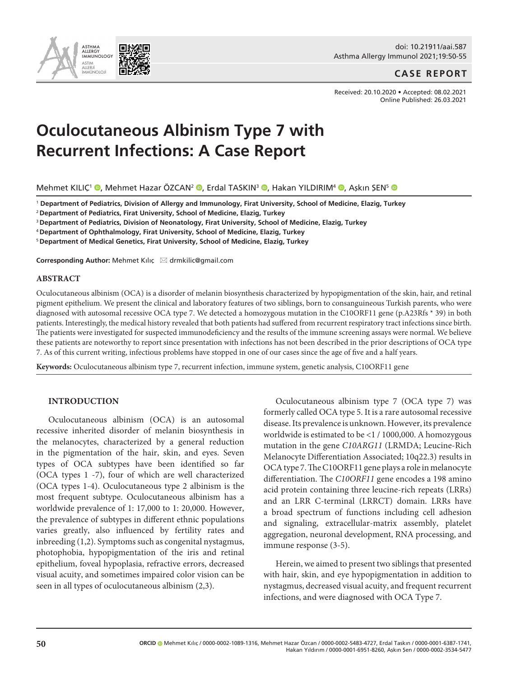doi: 10.21911/aai.587 Asthma Allergy Immunol 2021;19:50-55

## **CASE REPORT**

Received: 20.10.2020 • Accepted: 08.02.2021 Online Published: 26.03.2021

# **Oculocutaneous Albinism Type 7 with Recurrent Infections: A Case Report**

Mehmet KILIÇ<sup>1</sup> ([,](http://orcid.org/0000-0001-6951-8260) Mehmet Hazar ÖZCAN<sup>2</sup> (, Erdal TASKIN<sup>3</sup> (, Hakan YILDIRIM<sup>4</sup> (, Aşkın ŞEN<sup>5</sup> (, O

<sup>1</sup> **Department of Pediatrics, Division of Allergy and Immunology, Firat University, School of Medicine, Elazig, Turkey**

<sup>2</sup>**Department of Pediatrics, Firat University, School of Medicine, Elazig, Turkey**

<sup>3</sup>**Department of Pediatrics, Division of Neonatology, Firat University, School of Medicine, Elazig, Turkey**

<sup>4</sup>**Department of Ophthalmology, Firat University, School of Medicine, Elazig, Turkey**

5 **Department of Medical Genetics, Firat University, School of Medicine, Elazig, Turkey**

**Corresponding Author:** Mehmet Kılıç \* drmkilic@gmail.com

## **ABSTRACT**

Oculocutaneous albinism (OCA) is a disorder of melanin biosynthesis characterized by hypopigmentation of the skin, hair, and retinal pigment epithelium. We present the clinical and laboratory features of two siblings, born to consanguineous Turkish parents, who were diagnosed with autosomal recessive OCA type 7. We detected a homozygous mutation in the C10ORF11 gene (p.A23Rfs \* 39) in both patients. Interestingly, the medical history revealed that both patients had suffered from recurrent respiratory tract infections since birth. The patients were investigated for suspected immunodeficiency and the results of the immune screening assays were normal. We believe these patients are noteworthy to report since presentation with infections has not been described in the prior descriptions of OCA type 7. As of this current writing, infectious problems have stopped in one of our cases since the age of five and a half years.

**Keywords:** Oculocutaneous albinism type 7, recurrent infection, immune system, genetic analysis, C10ORF11 gene

#### **INTRODUCTION**

ASTHMA<br>ALLERGY ALLERGY IMMUNOLOGY ASTIM ALLERJİ İMMÜNOLOJİ

Oculocutaneous albinism (OCA) is an autosomal recessive inherited disorder of melanin biosynthesis in the melanocytes, characterized by a general reduction in the pigmentation of the hair, skin, and eyes. Seven types of OCA subtypes have been identified so far (OCA types 1 -7), four of which are well characterized (OCA types 1-4). Oculocutaneous type 2 albinism is the most frequent subtype. Oculocutaneous albinism has a worldwide prevalence of 1: 17,000 to 1: 20,000. However, the prevalence of subtypes in different ethnic populations varies greatly, also influenced by fertility rates and inbreeding (1,2). Symptoms such as congenital nystagmus, photophobia, hypopigmentation of the iris and retinal epithelium, foveal hypoplasia, refractive errors, decreased visual acuity, and sometimes impaired color vision can be seen in all types of oculocutaneous albinism (2,3).

Oculocutaneous albinism type 7 (OCA type 7) was formerly called OCA type 5. It is a rare autosomal recessive disease. Its prevalence is unknown. However, its prevalence worldwide is estimated to be <1 / 1000,000. A homozygous mutation in the gene *C10ARG11* (LRMDA; Leucine-Rich Melanocyte Differentiation Associated; 10q22.3) results in OCA type 7. The C10ORF11 gene plays a role in melanocyte differentiation. The *C10ORF11* gene encodes a 198 amino acid protein containing three leucine-rich repeats (LRRs) and an LRR C-terminal (LRRCT) domain. LRRs have a broad spectrum of functions including cell adhesion and signaling, extracellular-matrix assembly, platelet aggregation, neuronal development, RNA processing, and immune response (3-5).

Herein, we aimed to present two siblings that presented with hair, skin, and eye hypopigmentation in addition to nystagmus, decreased visual acuity, and frequent recurrent infections, and were diagnosed with OCA Type 7.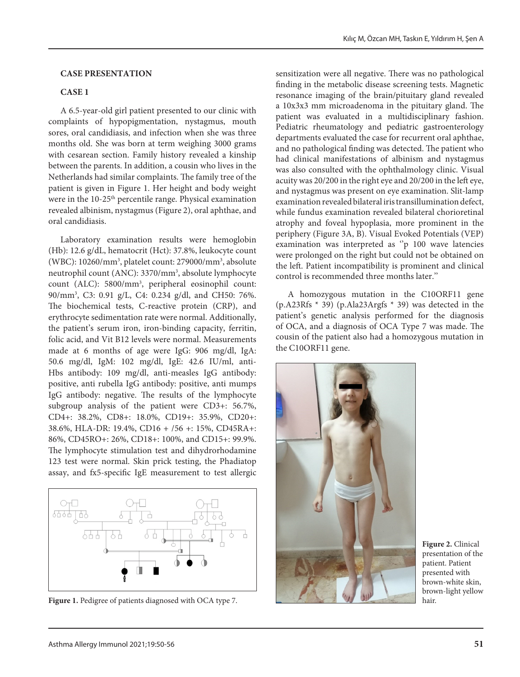#### **CASE PRESENTATION**

#### **CASE 1**

A 6.5-year-old girl patient presented to our clinic with complaints of hypopigmentation, nystagmus, mouth sores, oral candidiasis, and infection when she was three months old. She was born at term weighing 3000 grams with cesarean section. Family history revealed a kinship between the parents. In addition, a cousin who lives in the Netherlands had similar complaints. The family tree of the patient is given in Figure 1. Her height and body weight were in the 10-25<sup>th</sup> percentile range. Physical examination revealed albinism, nystagmus (Figure 2), oral aphthae, and oral candidiasis.

Laboratory examination results were hemoglobin (Hb): 12.6 g/dL, hematocrit (Hct): 37.8%, leukocyte count (WBC): 10260/mm3 , platelet count: 279000/mm3 , absolute neutrophil count (ANC): 3370/mm3 , absolute lymphocyte count (ALC): 5800/mm3 , peripheral eosinophil count: 90/mm3 , C3: 0.91 g/L, C4: 0.234 g/dl, and CH50: 76%. The biochemical tests, C-reactive protein (CRP), and erythrocyte sedimentation rate were normal. Additionally, the patient's serum iron, iron-binding capacity, ferritin, folic acid, and Vit B12 levels were normal. Measurements made at 6 months of age were IgG: 906 mg/dl, IgA: 50.6 mg/dl, IgM: 102 mg/dl, IgE: 42.6 IU/ml, anti-Hbs antibody: 109 mg/dl, anti-measles IgG antibody: positive, anti rubella IgG antibody: positive, anti mumps IgG antibody: negative. The results of the lymphocyte subgroup analysis of the patient were CD3+: 56.7%, CD4+: 38.2%, CD8+: 18.0%, CD19+: 35.9%, CD20+: 38.6%, HLA-DR: 19.4%, CD16 + /56 +: 15%, CD45RA+: 86%, CD45RO+: 26%, CD18+: 100%, and CD15+: 99.9%. The lymphocyte stimulation test and dihydrorhodamine 123 test were normal. Skin prick testing, the Phadiatop assay, and fx5-specific IgE measurement to test allergic



**Figure 1.** Pedigree of patients diagnosed with OCA type 7.

sensitization were all negative. There was no pathological finding in the metabolic disease screening tests. Magnetic resonance imaging of the brain/pituitary gland revealed a 10x3x3 mm microadenoma in the pituitary gland. The patient was evaluated in a multidisciplinary fashion. Pediatric rheumatology and pediatric gastroenterology departments evaluated the case for recurrent oral aphthae, and no pathological finding was detected. The patient who had clinical manifestations of albinism and nystagmus was also consulted with the ophthalmology clinic. Visual acuity was 20/200 in the right eye and 20/200 in the left eye, and nystagmus was present on eye examination. Slit-lamp examination revealed bilateral iris transillumination defect, while fundus examination revealed bilateral chorioretinal atrophy and foveal hypoplasia, more prominent in the periphery (Figure 3A, B). Visual Evoked Potentials (VEP) examination was interpreted as "p 100 wave latencies were prolonged on the right but could not be obtained on the left. Patient incompatibility is prominent and clinical control is recommended three months later.''

A homozygous mutation in the C10ORF11 gene (p.A23Rfs \* 39) (p.Ala23Argfs \* 39) was detected in the patient's genetic analysis performed for the diagnosis of OCA, and a diagnosis of OCA Type 7 was made. The cousin of the patient also had a homozygous mutation in the C10ORF11 gene.



**Figure 2.** Clinical presentation of the patient. Patient presented with brown-white skin, brown-light yellow hair.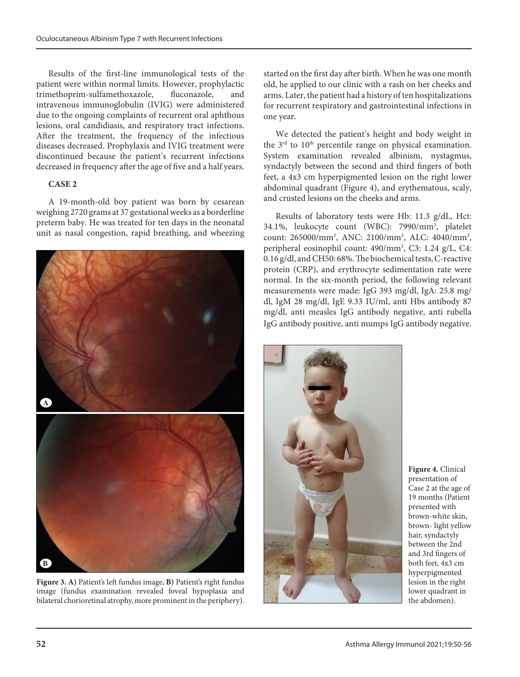Results of the first-line immunological tests of the patient were within normal limits. However, prophylactic trimethoprim-sulfamethoxazole, fluconazole, and intravenous immunoglobulin (IVIG) were administered due to the ongoing complaints of recurrent oral aphthous lesions, oral candidiasis, and respiratory tract infections. After the treatment, the frequency of the infectious diseases decreased. Prophylaxis and IVIG treatment were discontinued because the patient's recurrent infections decreased in frequency after the age of five and a half years.

## **CASE 2**

A 19-month-old boy patient was born by cesarean weighing 2720 grams at 37 gestational weeks as a borderline preterm baby. He was treated for ten days in the neonatal unit as nasal congestion, rapid breathing, and wheezing



**Figure 3. A)** Patient's left fundus image, **B)** Patient's right fundus image (fundus examination revealed foveal hypoplasia and bilateral chorioretinal atrophy, more prominent in the periphery).

started on the first day after birth. When he was one month old, he applied to our clinic with a rash on her cheeks and arms. Later, the patient had a history of ten hospitalizations for recurrent respiratory and gastrointestinal infections in one year.

We detected the patient's height and body weight in the  $3<sup>rd</sup>$  to  $10<sup>th</sup>$  percentile range on physical examination. System examination revealed albinism, nystagmus, syndactyly between the second and third fingers of both feet, a 4x3 cm hyperpigmented lesion on the right lower abdominal quadrant (Figure 4), and erythematous, scaly, and crusted lesions on the cheeks and arms.

Results of laboratory tests were Hb: 11.3 g/dL, Hct: 34.1%, leukocyte count (WBC): 7990/mm3 , platelet count: 265000/mm<sup>3</sup>, ANC: 2100/mm<sup>3</sup>, ALC: 4040/mm<sup>3</sup>, peripheral eosinophil count: 490/mm3 , C3: 1.24 g/L, C4: 0.16 g/dl, and CH50: 68%. The biochemical tests, C-reactive protein (CRP), and erythrocyte sedimentation rate were normal. In the six-month period, the following relevant measurements were made: IgG 393 mg/dl, IgA: 25.8 mg/ dl, IgM 28 mg/dl, IgE 9.33 IU/ml, anti Hbs antibody 87 mg/dl, anti measles IgG antibody negative, anti rubella IgG antibody positive, anti mumps IgG antibody negative.



**Figure 4.** Clinical presentation of Case 2 at the age of 19 months (Patient presented with brown-white skin, brown- light yellow hair, syndactyly between the 2nd and 3rd fingers of both feet, 4x3 cm hyperpigmented lesion in the right lower quadrant in the abdomen).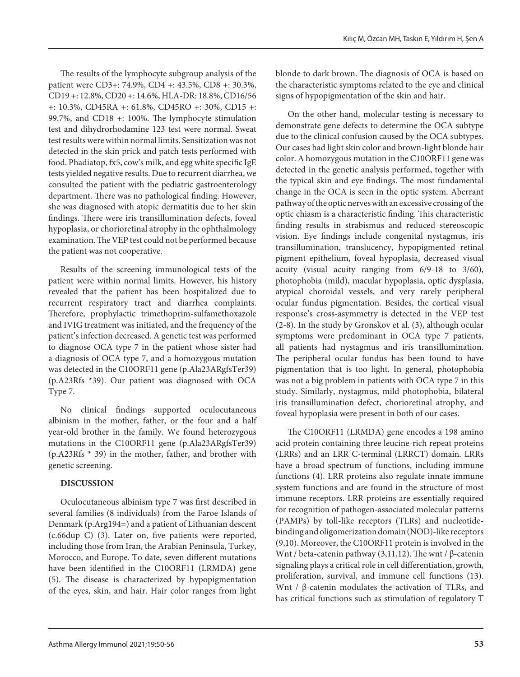The results of the lymphocyte subgroup analysis of the patient were CD3+: 74.9%, CD4 +: 43.5%, CD8 +: 30.3%, CD19 +: 12.8%, CD20 +: 14.6%, HLA-DR: 18.8%, CD16/56 +: 10.3%, CD45RA +: 61.8%, CD45RO +: 30%, CD15 +: 99.7%, and CD18 +: 100%. The lymphocyte stimulation test and dihydrorhodamine 123 test were normal. Sweat test results were within normal limits. Sensitization was not detected in the skin prick and patch tests performed with food. Phadiatop, fx5, cow's milk, and egg white specific IgE tests yielded negative results. Due to recurrent diarrhea, we consulted the patient with the pediatric gastroenterology department. There was no pathological finding. However, she was diagnosed with atopic dermatitis due to her skin findings. There were iris transillumination defects, foveal hypoplasia, or chorioretinal atrophy in the ophthalmology examination. The VEP test could not be performed because the patient was not cooperative.

Results of the screening immunological tests of the patient were within normal limits. However, his history revealed that the patient has been hospitalized due to recurrent respiratory tract and diarrhea complaints. Therefore, prophylactic trimethoprim-sulfamethoxazole and IVIG treatment was initiated, and the frequency of the patient's infection decreased. A genetic test was performed to diagnose OCA type 7 in the patient whose sister had a diagnosis of OCA type 7, and a homozygous mutation was detected in the C10ORF11 gene (p.Ala23ARgfsTer39) (p.A23Rfs \*39). Our patient was diagnosed with OCA Type 7.

No clinical findings supported oculocutaneous albinism in the mother, father, or the four and a half year-old brother in the family. We found heterozygous mutations in the C10ORF11 gene (p.Ala23ARgfsTer39) (p.A23Rfs \* 39) in the mother, father, and brother with genetic screening.

# **DISCUSSION**

Oculocutaneous albinism type 7 was first described in several families (8 individuals) from the Faroe Islands of Denmark (p.Arg194=) and a patient of Lithuanian descent (c.66dup C) (3). Later on, five patients were reported, including those from Iran, the Arabian Peninsula, Turkey, Morocco, and Europe. To date, seven different mutations have been identified in the C10ORF11 (LRMDA) gene (5). The disease is characterized by hypopigmentation of the eyes, skin, and hair. Hair color ranges from light

blonde to dark brown. The diagnosis of OCA is based on the characteristic symptoms related to the eye and clinical signs of hypopigmentation of the skin and hair.

On the other hand, molecular testing is necessary to demonstrate gene defects to determine the OCA subtype due to the clinical confusion caused by the OCA subtypes. Our cases had light skin color and brown-light blonde hair color. A homozygous mutation in the C10ORF11 gene was detected in the genetic analysis performed, together with the typical skin and eye findings. The most fundamental change in the OCA is seen in the optic system. Aberrant pathway of the optic nerves with an excessive crossing of the optic chiasm is a characteristic finding. This characteristic finding results in strabismus and reduced stereoscopic vision. Eye findings include congenital nystagmus, iris transillumination, translucency, hypopigmented retinal pigment epithelium, foveal hypoplasia, decreased visual acuity (visual acuity ranging from 6/9-18 to 3/60), photophobia (mild), macular hypoplasia, optic dysplasia, atypical choroidal vessels, and very rarely peripheral ocular fundus pigmentation. Besides, the cortical visual response's cross-asymmetry is detected in the VEP test (2-8). In the study by Gronskov et al. (3), although ocular symptoms were predominant in OCA type 7 patients, all patients had nystagmus and iris transillumination. The peripheral ocular fundus has been found to have pigmentation that is too light. In general, photophobia was not a big problem in patients with OCA type 7 in this study. Similarly, nystagmus, mild photophobia, bilateral iris transillumination defect, chorioretinal atrophy, and foveal hypoplasia were present in both of our cases.

The C10ORF11 (LRMDA) gene encodes a 198 amino acid protein containing three leucine-rich repeat proteins (LRRs) and an LRR C-terminal (LRRCT) domain. LRRs have a broad spectrum of functions, including immune functions (4). LRR proteins also regulate innate immune system functions and are found in the structure of most immune receptors. LRR proteins are essentially required for recognition of pathogen-associated molecular patterns (PAMPs) by toll-like receptors (TLRs) and nucleotidebinding and oligomerization domain (NOD)-like receptors (9,10). Moreover, the C10ORF11 protein is involved in the Wnt / beta-catenin pathway (3,11,12). The wnt / β-catenin signaling plays a critical role in cell differentiation, growth, proliferation, survival, and immune cell functions (13). Wnt / β-catenin modulates the activation of TLRs, and has critical functions such as stimulation of regulatory T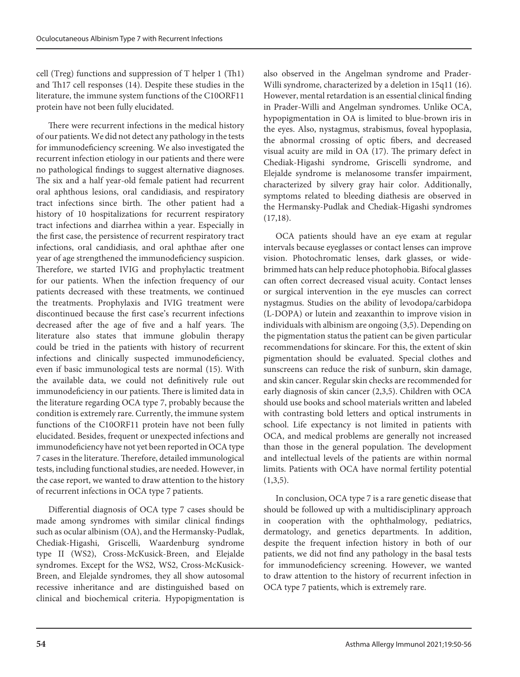cell (Treg) functions and suppression of T helper 1 (Th1) and Th17 cell responses (14). Despite these studies in the literature, the immune system functions of the C10ORF11 protein have not been fully elucidated.

There were recurrent infections in the medical history of our patients. We did not detect any pathology in the tests for immunodeficiency screening. We also investigated the recurrent infection etiology in our patients and there were no pathological findings to suggest alternative diagnoses. The six and a half year-old female patient had recurrent oral aphthous lesions, oral candidiasis, and respiratory tract infections since birth. The other patient had a history of 10 hospitalizations for recurrent respiratory tract infections and diarrhea within a year. Especially in the first case, the persistence of recurrent respiratory tract infections, oral candidiasis, and oral aphthae after one year of age strengthened the immunodeficiency suspicion. Therefore, we started IVIG and prophylactic treatment for our patients. When the infection frequency of our patients decreased with these treatments, we continued the treatments. Prophylaxis and IVIG treatment were discontinued because the first case's recurrent infections decreased after the age of five and a half years. The literature also states that immune globulin therapy could be tried in the patients with history of recurrent infections and clinically suspected immunodeficiency, even if basic immunological tests are normal (15). With the available data, we could not definitively rule out immunodeficiency in our patients. There is limited data in the literature regarding OCA type 7, probably because the condition is extremely rare. Currently, the immune system functions of the C10ORF11 protein have not been fully elucidated. Besides, frequent or unexpected infections and immunodeficiency have not yet been reported in OCA type 7 cases in the literature. Therefore, detailed immunological tests, including functional studies, are needed. However, in the case report, we wanted to draw attention to the history of recurrent infections in OCA type 7 patients.

Differential diagnosis of OCA type 7 cases should be made among syndromes with similar clinical findings such as ocular albinism (OA), and the Hermansky-Pudlak, Chediak-Higashi, Griscelli, Waardenburg syndrome type II (WS2), Cross-McKusick-Breen, and Elejalde syndromes. Except for the WS2, WS2, Cross-McKusick-Breen, and Elejalde syndromes, they all show autosomal recessive inheritance and are distinguished based on clinical and biochemical criteria. Hypopigmentation is

also observed in the Angelman syndrome and Prader-Willi syndrome, characterized by a deletion in 15q11 (16). However, mental retardation is an essential clinical finding in Prader-Willi and Angelman syndromes. Unlike OCA, hypopigmentation in OA is limited to blue-brown iris in the eyes. Also, nystagmus, strabismus, foveal hypoplasia, the abnormal crossing of optic fibers, and decreased visual acuity are mild in OA (17). The primary defect in Chediak-Higashi syndrome, Griscelli syndrome, and Elejalde syndrome is melanosome transfer impairment, characterized by silvery gray hair color. Additionally, symptoms related to bleeding diathesis are observed in the Hermansky-Pudlak and Chediak-Higashi syndromes (17,18).

OCA patients should have an eye exam at regular intervals because eyeglasses or contact lenses can improve vision. Photochromatic lenses, dark glasses, or widebrimmed hats can help reduce photophobia. Bifocal glasses can often correct decreased visual acuity. Contact lenses or surgical intervention in the eye muscles can correct nystagmus. Studies on the ability of levodopa/carbidopa (L-DOPA) or lutein and zeaxanthin to improve vision in individuals with albinism are ongoing (3,5). Depending on the pigmentation status the patient can be given particular recommendations for skincare. For this, the extent of skin pigmentation should be evaluated. Special clothes and sunscreens can reduce the risk of sunburn, skin damage, and skin cancer. Regular skin checks are recommended for early diagnosis of skin cancer (2,3,5). Children with OCA should use books and school materials written and labeled with contrasting bold letters and optical instruments in school. Life expectancy is not limited in patients with OCA, and medical problems are generally not increased than those in the general population. The development and intellectual levels of the patients are within normal limits. Patients with OCA have normal fertility potential  $(1,3,5)$ .

In conclusion, OCA type 7 is a rare genetic disease that should be followed up with a multidisciplinary approach in cooperation with the ophthalmology, pediatrics, dermatology, and genetics departments. In addition, despite the frequent infection history in both of our patients, we did not find any pathology in the basal tests for immunodeficiency screening. However, we wanted to draw attention to the history of recurrent infection in OCA type 7 patients, which is extremely rare.